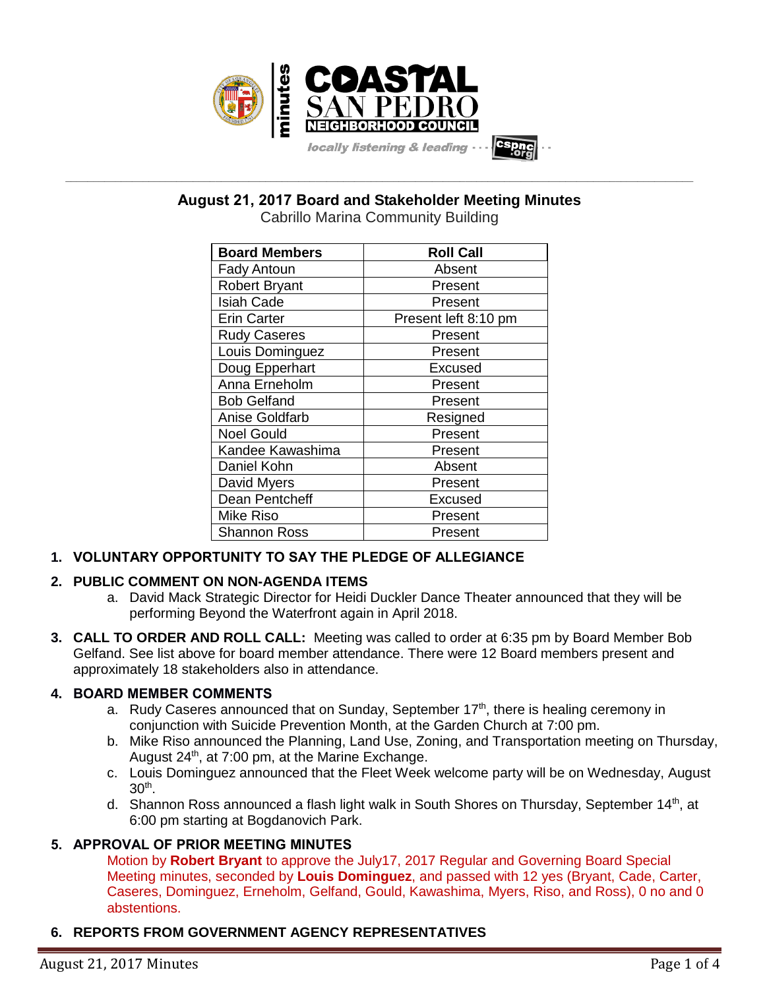

**\_\_\_\_\_\_\_\_\_\_\_\_\_\_\_\_\_\_\_\_\_\_\_\_\_\_\_\_\_\_\_\_\_\_\_\_\_\_\_\_\_\_\_\_\_\_\_\_\_\_\_\_\_\_\_\_\_\_\_\_\_\_\_\_\_\_\_\_\_\_\_\_\_\_\_\_\_\_\_\_\_\_\_\_\_\_\_\_\_\_\_\_\_\_\_\_\_\_\_\_\_\_\_\_\_\_\_\_\_\_\_\_\_ August 21, 2017 Board and Stakeholder Meeting Minutes**

Cabrillo Marina Community Building

| <b>Board Members</b>  | <b>Roll Call</b>     |
|-----------------------|----------------------|
| <b>Fady Antoun</b>    | Absent               |
| <b>Robert Bryant</b>  | Present              |
| <b>Isiah Cade</b>     | Present              |
| <b>Erin Carter</b>    | Present left 8:10 pm |
| <b>Rudy Caseres</b>   | Present              |
| Louis Dominguez       | Present              |
| Doug Epperhart        | Excused              |
| Anna Erneholm         | Present              |
| <b>Bob Gelfand</b>    | Present              |
| <b>Anise Goldfarb</b> | Resigned             |
| <b>Noel Gould</b>     | Present              |
| Kandee Kawashima      | Present              |
| Daniel Kohn           | Absent               |
| David Myers           | Present              |
| Dean Pentcheff        | Excused              |
| Mike Riso             | Present              |
| <b>Shannon Ross</b>   | Present              |

# **1. VOLUNTARY OPPORTUNITY TO SAY THE PLEDGE OF ALLEGIANCE**

# **2. PUBLIC COMMENT ON NON-AGENDA ITEMS**

- a. David Mack Strategic Director for Heidi Duckler Dance Theater announced that they will be performing Beyond the Waterfront again in April 2018.
- **3. CALL TO ORDER AND ROLL CALL:** Meeting was called to order at 6:35 pm by Board Member Bob Gelfand. See list above for board member attendance. There were 12 Board members present and approximately 18 stakeholders also in attendance.

# **4. BOARD MEMBER COMMENTS**

- a. Rudy Caseres announced that on Sunday, September 17<sup>th</sup>, there is healing ceremony in conjunction with Suicide Prevention Month, at the Garden Church at 7:00 pm.
- b. Mike Riso announced the Planning, Land Use, Zoning, and Transportation meeting on Thursday, August 24<sup>th</sup>, at 7:00 pm, at the Marine Exchange.
- c. Louis Dominguez announced that the Fleet Week welcome party will be on Wednesday, August  $30<sup>th</sup>$ .
- d. Shannon Ross announced a flash light walk in South Shores on Thursday, September  $14<sup>th</sup>$ , at 6:00 pm starting at Bogdanovich Park.

# **5. APPROVAL OF PRIOR MEETING MINUTES**

Motion by **Robert Bryant** to approve the July17, 2017 Regular and Governing Board Special Meeting minutes, seconded by **Louis Dominguez**, and passed with 12 yes (Bryant, Cade, Carter, Caseres, Dominguez, Erneholm, Gelfand, Gould, Kawashima, Myers, Riso, and Ross), 0 no and 0 abstentions.

# **6. REPORTS FROM GOVERNMENT AGENCY REPRESENTATIVES**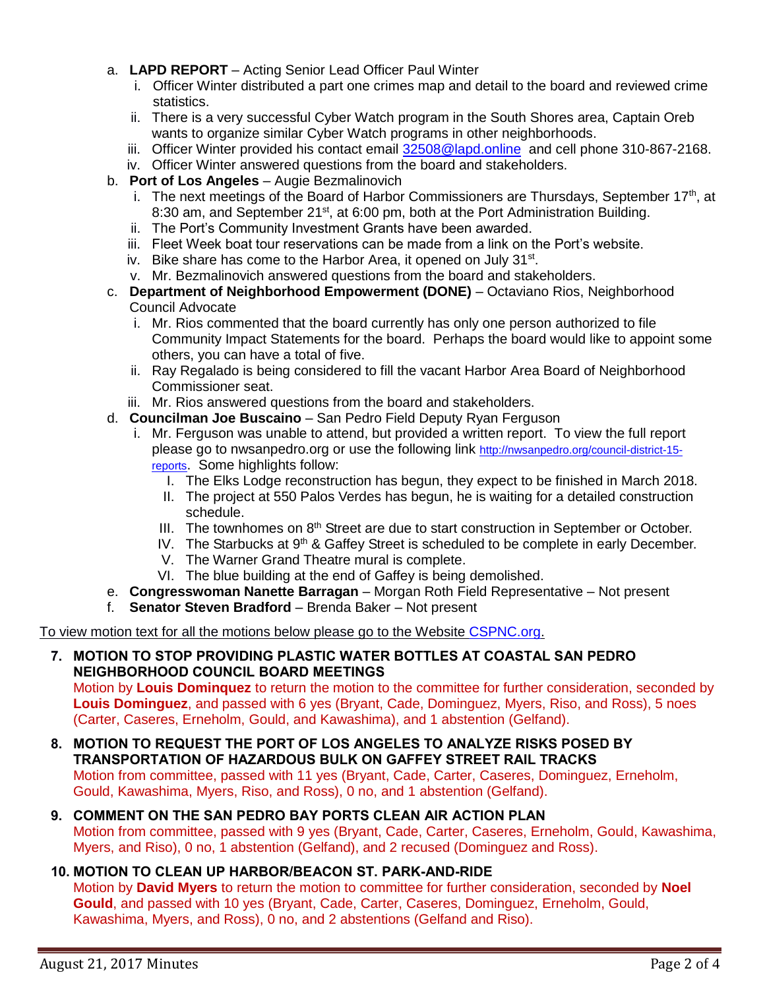- a. **LAPD REPORT** Acting Senior Lead Officer Paul Winter
	- i. Officer Winter distributed a part one crimes map and detail to the board and reviewed crime statistics.
	- ii. There is a very successful Cyber Watch program in the South Shores area, Captain Oreb wants to organize similar Cyber Watch programs in other neighborhoods.
	- iii. Officer Winter provided his contact email [32508@lapd.online](mailto:32508@lapd.online) and cell phone 310-867-2168.
	- iv. Officer Winter answered questions from the board and stakeholders.
- b. **Port of Los Angeles** Augie Bezmalinovich
	- i. The next meetings of the Board of Harbor Commissioners are Thursdays, September  $17<sup>th</sup>$ , at 8:30 am, and September 21<sup>st</sup>, at 6:00 pm, both at the Port Administration Building.
	- ii. The Port's Community Investment Grants have been awarded.
	- iii. Fleet Week boat tour reservations can be made from a link on the Port's website.
	- iv. Bike share has come to the Harbor Area, it opened on July 31<sup>st</sup>.
	- v. Mr. Bezmalinovich answered questions from the board and stakeholders.
- c. **Department of Neighborhood Empowerment (DONE)** Octaviano Rios, Neighborhood Council Advocate
	- i. Mr. Rios commented that the board currently has only one person authorized to file Community Impact Statements for the board. Perhaps the board would like to appoint some others, you can have a total of five.
	- ii. Ray Regalado is being considered to fill the vacant Harbor Area Board of Neighborhood Commissioner seat.
	- iii. Mr. Rios answered questions from the board and stakeholders.
- d. **Councilman Joe Buscaino** San Pedro Field Deputy Ryan Ferguson
	- i. Mr. Ferguson was unable to attend, but provided a written report. To view the full report please go to nwsanpedro.org or use the following link [http://nwsanpedro.org/council-district-15](http://nwsanpedro.org/council-district-15-reports/) [reports](http://nwsanpedro.org/council-district-15-reports/). Some highlights follow:
		- I. The Elks Lodge reconstruction has begun, they expect to be finished in March 2018.
		- II. The project at 550 Palos Verdes has begun, he is waiting for a detailed construction schedule.
		- III. The townhomes on  $8<sup>th</sup>$  Street are due to start construction in September or October.
		- IV. The Starbucks at  $9<sup>th</sup>$  & Gaffey Street is scheduled to be complete in early December.
		- V. The Warner Grand Theatre mural is complete.
		- VI. The blue building at the end of Gaffey is being demolished.
- e. **Congresswoman Nanette Barragan** Morgan Roth Field Representative Not present
- f. **Senator Steven Bradford** Brenda Baker Not present

To view motion text for all the motions below please go to the Website [CSPNC.org.](http://www.cspnc.org/wp-content/uploads/2017/08/2017-08-21-CoastalSPNC-incl-funding-items.pdf)

## **7. MOTION TO STOP PROVIDING PLASTIC WATER BOTTLES AT COASTAL SAN PEDRO NEIGHBORHOOD COUNCIL BOARD MEETINGS**

Motion by **Louis Dominquez** to return the motion to the committee for further consideration, seconded by **Louis Dominguez**, and passed with 6 yes (Bryant, Cade, Dominguez, Myers, Riso, and Ross), 5 noes (Carter, Caseres, Erneholm, Gould, and Kawashima), and 1 abstention (Gelfand).

**8. MOTION TO REQUEST THE PORT OF LOS ANGELES TO ANALYZE RISKS POSED BY TRANSPORTATION OF HAZARDOUS BULK ON GAFFEY STREET RAIL TRACKS** Motion from committee, passed with 11 yes (Bryant, Cade, Carter, Caseres, Dominguez, Erneholm, Gould, Kawashima, Myers, Riso, and Ross), 0 no, and 1 abstention (Gelfand).

#### **9. COMMENT ON THE SAN PEDRO BAY PORTS CLEAN AIR ACTION PLAN** Motion from committee, passed with 9 yes (Bryant, Cade, Carter, Caseres, Erneholm, Gould, Kawashima, Myers, and Riso), 0 no, 1 abstention (Gelfand), and 2 recused (Dominguez and Ross).

# **10. MOTION TO CLEAN UP HARBOR/BEACON ST. PARK-AND-RIDE**

Motion by **David Myers** to return the motion to committee for further consideration, seconded by **Noel Gould**, and passed with 10 yes (Bryant, Cade, Carter, Caseres, Dominguez, Erneholm, Gould, Kawashima, Myers, and Ross), 0 no, and 2 abstentions (Gelfand and Riso).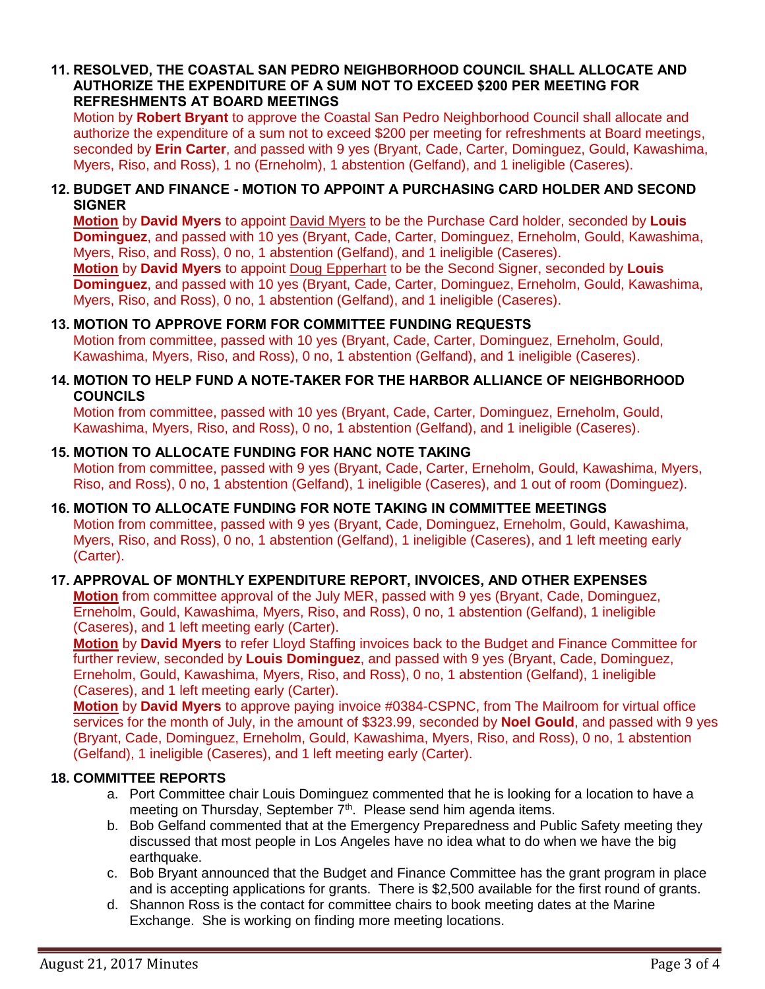#### **11. RESOLVED, THE COASTAL SAN PEDRO NEIGHBORHOOD COUNCIL SHALL ALLOCATE AND AUTHORIZE THE EXPENDITURE OF A SUM NOT TO EXCEED \$200 PER MEETING FOR REFRESHMENTS AT BOARD MEETINGS**

Motion by **Robert Bryant** to approve the Coastal San Pedro Neighborhood Council shall allocate and authorize the expenditure of a sum not to exceed \$200 per meeting for refreshments at Board meetings, seconded by **Erin Carter**, and passed with 9 yes (Bryant, Cade, Carter, Dominguez, Gould, Kawashima, Myers, Riso, and Ross), 1 no (Erneholm), 1 abstention (Gelfand), and 1 ineligible (Caseres).

#### **12. BUDGET AND FINANCE - MOTION TO APPOINT A PURCHASING CARD HOLDER AND SECOND SIGNER**

**Motion** by **David Myers** to appoint David Myers to be the Purchase Card holder, seconded by **Louis Dominguez**, and passed with 10 yes (Bryant, Cade, Carter, Dominguez, Erneholm, Gould, Kawashima, Myers, Riso, and Ross), 0 no, 1 abstention (Gelfand), and 1 ineligible (Caseres).

**Motion** by **David Myers** to appoint Doug Epperhart to be the Second Signer, seconded by **Louis Dominguez**, and passed with 10 yes (Bryant, Cade, Carter, Dominguez, Erneholm, Gould, Kawashima, Myers, Riso, and Ross), 0 no, 1 abstention (Gelfand), and 1 ineligible (Caseres).

## **13. MOTION TO APPROVE FORM FOR COMMITTEE FUNDING REQUESTS**

Motion from committee, passed with 10 yes (Bryant, Cade, Carter, Dominguez, Erneholm, Gould, Kawashima, Myers, Riso, and Ross), 0 no, 1 abstention (Gelfand), and 1 ineligible (Caseres).

#### **14. MOTION TO HELP FUND A NOTE-TAKER FOR THE HARBOR ALLIANCE OF NEIGHBORHOOD COUNCILS**

Motion from committee, passed with 10 yes (Bryant, Cade, Carter, Dominguez, Erneholm, Gould, Kawashima, Myers, Riso, and Ross), 0 no, 1 abstention (Gelfand), and 1 ineligible (Caseres).

#### **15. MOTION TO ALLOCATE FUNDING FOR HANC NOTE TAKING**

Motion from committee, passed with 9 yes (Bryant, Cade, Carter, Erneholm, Gould, Kawashima, Myers, Riso, and Ross), 0 no, 1 abstention (Gelfand), 1 ineligible (Caseres), and 1 out of room (Dominguez).

# **16. MOTION TO ALLOCATE FUNDING FOR NOTE TAKING IN COMMITTEE MEETINGS**

Motion from committee, passed with 9 yes (Bryant, Cade, Dominguez, Erneholm, Gould, Kawashima, Myers, Riso, and Ross), 0 no, 1 abstention (Gelfand), 1 ineligible (Caseres), and 1 left meeting early (Carter).

# **17. APPROVAL OF MONTHLY EXPENDITURE REPORT, INVOICES, AND OTHER EXPENSES**

**Motion** from committee approval of the July MER, passed with 9 yes (Bryant, Cade, Dominguez, Erneholm, Gould, Kawashima, Myers, Riso, and Ross), 0 no, 1 abstention (Gelfand), 1 ineligible (Caseres), and 1 left meeting early (Carter).

**Motion** by **David Myers** to refer Lloyd Staffing invoices back to the Budget and Finance Committee for further review, seconded by **Louis Dominguez**, and passed with 9 yes (Bryant, Cade, Dominguez, Erneholm, Gould, Kawashima, Myers, Riso, and Ross), 0 no, 1 abstention (Gelfand), 1 ineligible (Caseres), and 1 left meeting early (Carter).

**Motion** by **David Myers** to approve paying invoice #0384-CSPNC, from The Mailroom for virtual office services for the month of July, in the amount of \$323.99, seconded by **Noel Gould**, and passed with 9 yes (Bryant, Cade, Dominguez, Erneholm, Gould, Kawashima, Myers, Riso, and Ross), 0 no, 1 abstention (Gelfand), 1 ineligible (Caseres), and 1 left meeting early (Carter).

## **18. COMMITTEE REPORTS**

- a. Port Committee chair Louis Dominguez commented that he is looking for a location to have a meeting on Thursday, September  $7<sup>th</sup>$ . Please send him agenda items.
- b. Bob Gelfand commented that at the Emergency Preparedness and Public Safety meeting they discussed that most people in Los Angeles have no idea what to do when we have the big earthquake.
- c. Bob Bryant announced that the Budget and Finance Committee has the grant program in place and is accepting applications for grants. There is \$2,500 available for the first round of grants.
- d. Shannon Ross is the contact for committee chairs to book meeting dates at the Marine Exchange. She is working on finding more meeting locations.